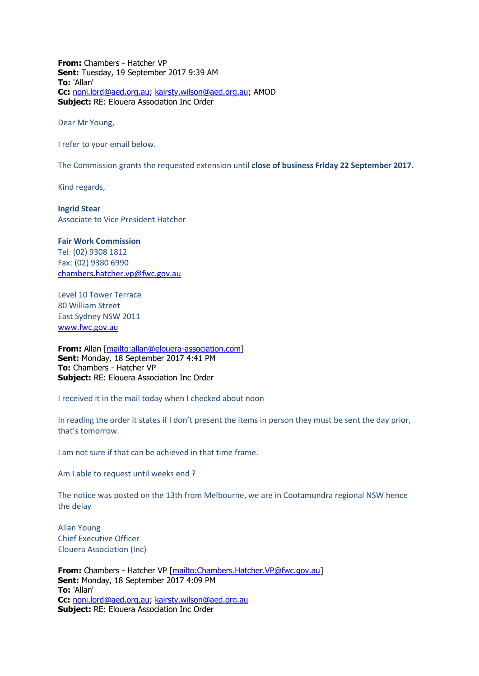**From:** Chambers - Hatcher VP **Sent:** Tuesday, 19 September 2017 9:39 AM **To:** 'Allan' **Cc:** [noni.lord@aed.org.au;](mailto:noni.lord@aed.org.au) [kairsty.wilson@aed.org.au;](mailto:kairsty.wilson@aed.org.au) AMOD **Subject:** RE: Elouera Association Inc Order

Dear Mr Young,

I refer to your email below.

The Commission grants the requested extension until **close of business Friday 22 September 2017.** 

Kind regards,

**Ingrid Stear** Associate to Vice President Hatcher

**Fair Work Commission**  Tel: (02) 9308 1812 Fax: (02) 9380 6990 [chambers.hatcher.vp@fwc.gov.au](mailto:chambers.hatcher.vp@fwc.gov.au) 

Level 10 Tower Terrace 80 William Street East Sydney NSW 2011 [www.fwc.gov.au](http://www.fwc.gov.au/)

**From:** Allan [\[mailto:allan@elouera-association.com\]](mailto:allan@elouera-association.com) **Sent:** Monday, 18 September 2017 4:41 PM **To:** Chambers - Hatcher VP **Subject:** RE: Elouera Association Inc Order

I received it in the mail today when I checked about noon

In reading the order it states if I don't present the items in person they must be sent the day prior, that's tomorrow.

I am not sure if that can be achieved in that time frame.

Am I able to request until weeks end ?

The notice was posted on the 13th from Melbourne, we are in Cootamundra regional NSW hence the delay

Allan Young Chief Executive Officer Elouera Association (Inc)

**From:** Chambers - Hatcher VP [\[mailto:Chambers.Hatcher.VP@fwc.gov.au\]](mailto:Chambers.Hatcher.VP@fwc.gov.au) **Sent:** Monday, 18 September 2017 4:09 PM **To:** 'Allan' **Cc:** [noni.lord@aed.org.au;](mailto:noni.lord@aed.org.au) [kairsty.wilson@aed.org.au](mailto:kairsty.wilson@aed.org.au) **Subject:** RE: Elouera Association Inc Order